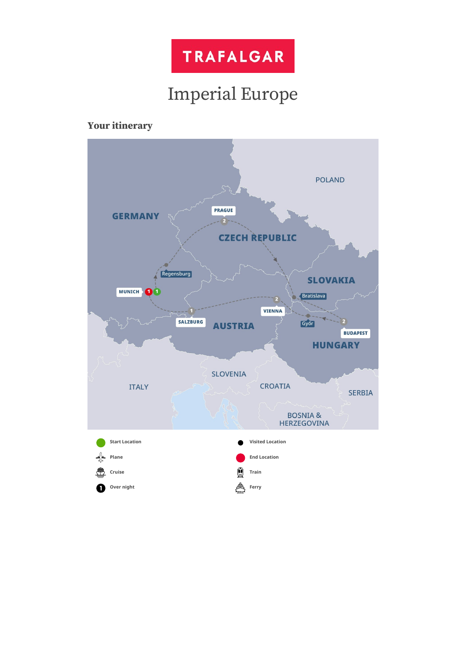

# Imperial Europe

# **Your itinerary**

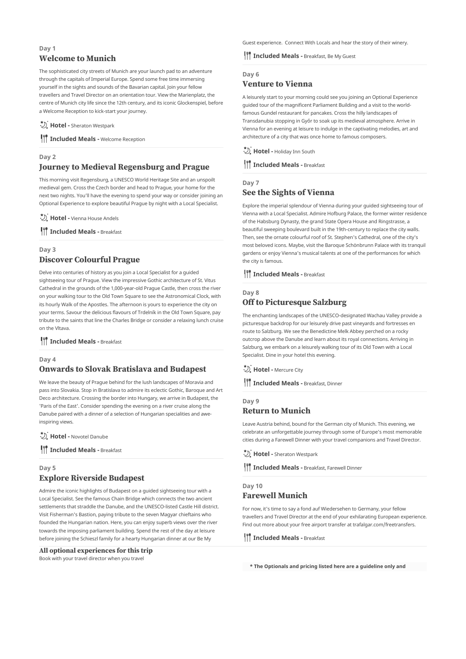# **Day 1 Welcome to Munich**

The sophisticated city streets of Munich are your launch pad to an adventure through the capitals of Imperial Europe. Spend some free time immersing yourself in the sights and sounds of the Bavarian capital. Join your fellow travellers and Travel Director on an orientation tour. View the Marienplatz, the centre of Munich city life since the 12th century, and its iconic Glockenspiel, before a Welcome Reception to kick-start your journey.

**Hotel -** Sheraton Westpark

**III** Included Meals - Welcome Reception

# **Day 2 Journey to Medieval Regensburg and Prague**

This morning visit Regensburg, a UNESCO World Heritage Site and an unspoilt medieval gem. Cross the Czech border and head to Prague, your home for the next two nights. You'll have the evening to spend your way or consider joining an Optional Experience to explore beautiful Prague by night with a Local Specialist.

**D.** Hotel - Vienna House Andels

**IT** Included Meals - Breakfast

# **Day 3 Discover Colourful Prague**

Delve into centuries of history as you join a Local Specialist for a guided sightseeing tour of Prague. View the impressive Gothic architecture of St. Vitus Cathedral in the grounds of the 1,000-year-old Prague Castle, then cross the river on your walking tour to the Old Town Square to see the Astronomical Clock, with its hourly Walk of the Apostles. The afternoon is yours to experience the city on your terms. Savour the delicious flavours of Trdelník in the Old Town Square, pay tribute to the saints that line the Charles Bridge or consider a relaxing lunch cruise on the Vltava.

**III** Included Meals - Breakfast

## **Day 4**

# **Onwards to Slovak Bratislava and Budapest**

We leave the beauty of Prague behind for the lush landscapes of Moravia and pass into Slovakia. Stop in Bratislava to admire its eclectic Gothic, Baroque and Art Deco architecture. Crossing the border into Hungary, we arrive in Budapest, the 'Paris of the East'. Consider spending the evening on a river cruise along the Danube paired with a dinner of a selection of Hungarian specialities and aweinspiring views.

**Hotel -** Novotel Danube

**IT** Included Meals - Breakfast

# **Day 5 Explore Riverside Budapest**

Admire the iconic highlights of Budapest on a guided sightseeing tour with a Local Specialist. See the famous Chain Bridge which connects the two ancient settlements that straddle the Danube, and the UNESCO-listed Castle Hill district. Visit Fisherman's Bastion, paying tribute to the seven Magyar chieftains who founded the Hungarian nation. Here, you can enjoy superb views over the river towards the imposing parliament building. Spend the rest of the day at leisure before joining the Schieszl family for a hearty Hungarian dinner at our Be My

## **All optional experiences for this trip**

Book with your travel director when you travel

Guest experience. Connect With Locals and hear the story of their winery.

## **III Included Meals -** Breakfast, Be My Guest

# **Day 6 Venture to Vienna**

A leisurely start to your morning could see you joining an Optional Experience guided tour of the magnificent Parliament Building and a visit to the worldfamous Gundel restaurant for pancakes. Cross the hilly landscapes of Transdanubia stopping in Győr to soak up its medieval atmosphere. Arrive in Vienna for an evening at leisure to indulge in the captivating melodies, art and architecture of a city that was once home to famous composers.

**D.** Hotel - Holiday Inn South

**III** Included Meals - Breakfast

## **Day 7 See the Sights of Vienna**

Explore the imperial splendour of Vienna during your guided sightseeing tour of Vienna with a Local Specialist. Admire Hofburg Palace, the former winter residence of the Habsburg Dynasty, the grand State Opera House and Ringstrasse, a beautiful sweeping boulevard built in the 19th-century to replace the city walls. Then, see the ornate colourful roof of St. Stephen's Cathedral, one of the city's most beloved icons. Maybe, visit the Baroque Schönbrunn Palace with its tranquil gardens or enjoy Vienna's musical talents at one of the performances for which the city is famous.

**III** Included Meals - Breakfast

# **Day 8 Off to Picturesque Salzburg**

The enchanting landscapes of the UNESCO-designated Wachau Valley provide a picturesque backdrop for our leisurely drive past vineyards and fortresses en route to Salzburg. We see the Benedictine Melk Abbey perched on a rocky outcrop above the Danube and learn about its royal connections. Arriving in Salzburg, we embark on a leisurely walking tour of its Old Town with a Local Specialist. Dine in your hotel this evening.

**Hotel -** Mercure City

**III** Included Meals - Breakfast, Dinner

## **Day 9 Return to Munich**

Leave Austria behind, bound for the German city of Munich. This evening, we celebrate an unforgettable journey through some of Europe's most memorable cities during a Farewell Dinner with your travel companions and Travel Director.

**Hotel -** Sheraton Westpark

**I**<sup>1</sup> Included Meals - Breakfast, Farewell Dinner

## **Day 10**

## **Farewell Munich**

For now, it's time to say a fond auf Wiedersehen to Germany, your fellow travellers and Travel Director at the end of your exhilarating European experience. Find out more about your free airport transfer at trafalgar.com/freetransfers.

**III** Included Meals - Breakfast

**\* The Optionals and pricing listed here are a guideline only and**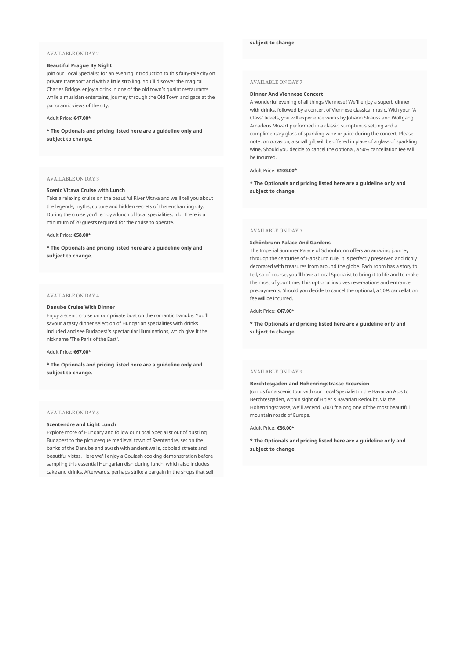#### AVAILABLE ON DAY 2

### **Beautiful Prague By Night**

Join our Local Specialist for an evening introduction to this fairy-tale city on private transport and with a little strolling. You'll discover the magical Charles Bridge, enjoy a drink in one of the old town's quaint restaurants while a musician entertains, journey through the Old Town and gaze at the panoramic views of the city.

#### Adult Price: **€47.00\***

**\* The Optionals and pricing listed here are a guideline only and subject to change.**

#### AVAILABLE ON DAY 3

#### **Scenic Vltava Cruise with Lunch**

Take a relaxing cruise on the beautiful River Vltava and we'll tell you about the legends, myths, culture and hidden secrets of this enchanting city. During the cruise you'll enjoy a lunch of local specialities. n.b. There is a minimum of 20 guests required for the cruise to operate.

#### Adult Price: **€58.00\***

**\* The Optionals and pricing listed here are a guideline only and subject to change.**

#### AVAILABLE ON DAY 4

#### **Danube Cruise With Dinner**

Enjoy a scenic cruise on our private boat on the romantic Danube. You'll savour a tasty dinner selection of Hungarian specialities with drinks included and see Budapest's spectacular illuminations, which give it the nickname 'The Paris of the East'.

#### Adult Price: **€67.00\***

**\* The Optionals and pricing listed here are a guideline only and subject to change.**

#### AVAILABLE ON DAY 5

#### **Szentendre and Light Lunch**

Explore more of Hungary and follow our Local Specialist out of bustling Budapest to the picturesque medieval town of Szentendre, set on the banks of the Danube and awash with ancient walls, cobbled streets and beautiful vistas. Here we'll enjoy a Goulash cooking demonstration before sampling this essential Hungarian dish during lunch, which also includes cake and drinks. Afterwards, perhaps strike a bargain in the shops that sell

#### AVAILABLE ON DAY 7

#### **Dinner And Viennese Concert**

A wonderful evening of all things Viennese! We'll enjoy a superb dinner with drinks, followed by a concert of Viennese classical music. With your 'A Class' tickets, you will experience works by Johann Strauss and Wolfgang Amadeus Mozart performed in a classic, sumptuous setting and a complimentary glass of sparkling wine or juice during the concert. Please note: on occasion, a small gift will be offered in place of a glass of sparkling wine. Should you decide to cancel the optional, a 50% cancellation fee will be incurred.

#### Adult Price: **€103.00\***

**\* The Optionals and pricing listed here are a guideline only and subject to change.**

#### AVAILABLE ON DAY 7

#### **Schönbrunn Palace And Gardens**

The Imperial Summer Palace of Schönbrunn offers an amazing journey through the centuries of Hapsburg rule. It is perfectly preserved and richly decorated with treasures from around the globe. Each room has a story to tell, so of course, you'll have a Local Specialist to bring it to life and to make the most of your time. This optional involves reservations and entrance prepayments. Should you decide to cancel the optional, a 50% cancellation fee will be incurred.

Adult Price: **€47.00\***

**\* The Optionals and pricing listed here are a guideline only and subject to change.**

#### AVAILABLE ON DAY 9

**Berchtesgaden and Hohenringstrasse Excursion** Join us for a scenic tour with our Local Specialist in the Bavarian Alps to Berchtesgaden, within sight of Hitler's Bavarian Redoubt. Via the Hohenringstrasse, we'll ascend 5,000 ft along one of the most beautiful

Adult Price: **€36.00\***

mountain roads of Europe.

**\* The Optionals and pricing listed here are a guideline only and subject to change.**